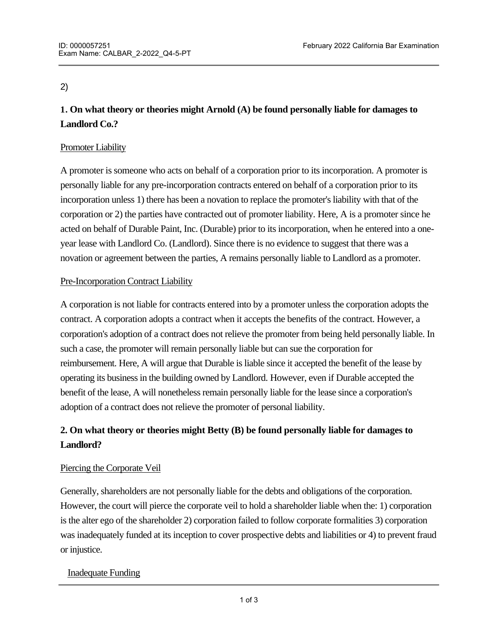## 2)

# **1. On what theory or theories might Arnold (A) be found personally liable for damages to Landlord Co.?**

## Promoter Liability

A promoter is someone who acts on behalf of a corporation prior to its incorporation. A promoter is personally liable for any pre-incorporation contracts entered on behalf of a corporation prior to its incorporation unless 1) there has been a novation to replace the promoter's liability with that of the corporation or 2) the parties have contracted out of promoter liability. Here, A is a promoter since he acted on behalf of Durable Paint, Inc. (Durable) prior to its incorporation, when he entered into a oneyear lease with Landlord Co. (Landlord). Since there is no evidence to suggest that there was a novation or agreement between the parties, A remains personally liable to Landlord as a promoter.

## Pre-Incorporation Contract Liability

A corporation is not liable for contracts entered into by a promoter unless the corporation adopts the contract. A corporation adopts a contract when it accepts the benefits of the contract. However, a corporation's adoption of a contract does not relieve the promoter from being held personally liable. In such a case, the promoter will remain personally liable but can sue the corporation for reimbursement. Here, A will argue that Durable is liable since it accepted the benefit of the lease by operating its business in the building owned by Landlord. However, even if Durable accepted the benefit of the lease, A will nonetheless remain personally liable for the lease since a corporation's adoption of a contract does not relieve the promoter of personal liability.

# **2. On what theory or theories might Betty (B) be found personally liable for damages to Landlord?**

## Piercing the Corporate Veil

Generally, shareholders are not personally liable for the debts and obligations of the corporation. However, the court will pierce the corporate veil to hold a shareholder liable when the: 1) corporation is the alter ego of the shareholder 2) corporation failed to follow corporate formalities 3) corporation was inadequately funded at its inception to cover prospective debts and liabilities or 4) to prevent fraud or injustice.

## Inadequate Funding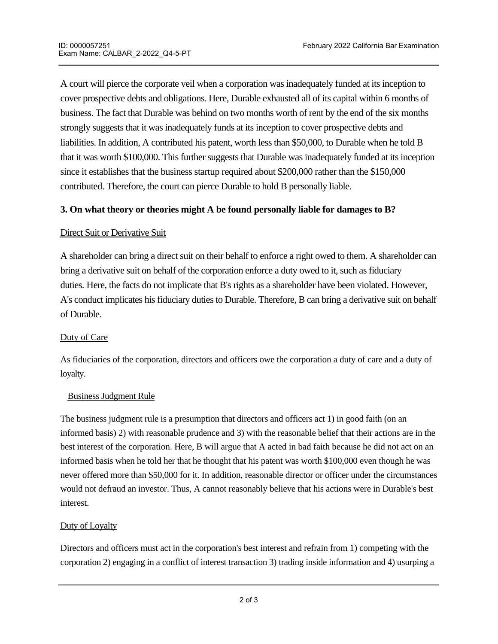A court will pierce the corporate veil when a corporation was inadequately funded at its inception to cover prospective debts and obligations. Here, Durable exhausted all of its capital within 6 months of business. The fact that Durable was behind on two months worth of rent by the end of the six months strongly suggests that it was inadequately funds at its inception to cover prospective debts and liabilities. In addition, A contributed his patent, worth less than \$50,000, to Durable when he told B that it was worth \$100,000. This further suggests that Durable was inadequately funded at its inception since it establishes that the business startup required about \$200,000 rather than the \$150,000 contributed. Therefore, the court can pierce Durable to hold B personally liable.

## **3. On what theory or theories might A be found personally liable for damages to B?**

## Direct Suit or Derivative Suit

A shareholder can bring a direct suit on their behalf to enforce a right owed to them. A shareholder can bring a derivative suit on behalf of the corporation enforce a duty owed to it, such as fiduciary duties. Here, the facts do not implicate that B's rights as a shareholder have been violated. However, A's conduct implicates his fiduciary duties to Durable. Therefore, B can bring a derivative suit on behalf of Durable.

## Duty of Care

As fiduciaries of the corporation, directors and officers owe the corporation a duty of care and a duty of loyalty.

## Business Judgment Rule

The business judgment rule is a presumption that directors and officers act 1) in good faith (on an informed basis) 2) with reasonable prudence and 3) with the reasonable belief that their actions are in the best interest of the corporation. Here, B will argue that A acted in bad faith because he did not act on an informed basis when he told her that he thought that his patent was worth \$100,000 even though he was never offered more than \$50,000 for it. In addition, reasonable director or officer under the circumstances would not defraud an investor. Thus, A cannot reasonably believe that his actions were in Durable's best interest.

## Duty of Loyalty

Directors and officers must act in the corporation's best interest and refrain from 1) competing with the corporation 2) engaging in a conflict of interest transaction 3) trading inside information and 4) usurping a